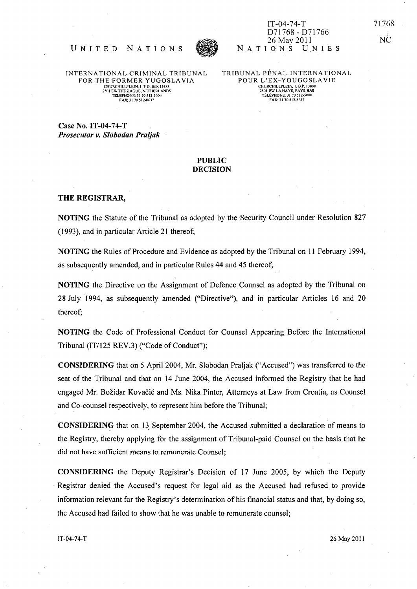

IT-04-74-T D71768 - D71766 26 May 2011 NATIONS UNIES

INTERNATIONAL CRIMINAL TRIBUNAL FOR THE FORMER YUGOSLAVIA 2501 EWTHE HAGUE, NETHERLANDS TELEPHONE: 31 70512·5000 fAX: 31 70512·8637

UNITED NATIONS

TRIBUNAL PÉNAL INTERNATIONAL POUR L'EX-YOUGOSLAVIE CHURCHILLPLEIN, 1. B.P. 13888<br>2501 EW LA HAYE, PAYS-BAS<br>TÉLÉPHONE: 31 70 512-5000<br>FAX: 31 70 512-8637

Case No. IT-04-74-T *Prosecutor v. Slobodan Praljak* 

## PUBLIC DECISION

## THE REGISTRAR,

NOTING the Statute of the Tribunal as adopted by the Security Council under Resolution 827 (1993), and in particular Article 21 thereof;

NOTING the Rules of Procedure and Evidence as adopted by the Tribunal on 11 February 1994, as subsequently amended, and in particular Rules 44 and 45 thereof;

NOTING the Directive on the Assignment of Defence Counsel as adopted by the Tribunal on 28 July "1994, as subsequently amended ("Directive"), and in particular Articles 16 and 20 thereof;

NOTING the Code of Professional Conduct for Counsel Appearing Before the International Tribunal *(IT/125* REV.3) ("Code of Conduct");

CONSIDERING that on 5 April 2004, Mr. Slobodan Praljak ("Accused") was transferred to the seat of the Tribunal and that on 14 June 2004, the Accused informed the Registry that he had engaged Mr. Bozidar Kovacic and Ms. Nika Pinter, Attorneys at Law from Croatia, as Counsel and Co-counsel respectively, to represent him before the Tribunal;

CONSIDERING that on 13 September 2004, the Accused submitted a declaration of means to the Registry, thereby applying for the assignment of Tribunal-paid Counsel on the basis that he did not have sufficient means to remunerate Counsel;

CONSIDERING the Deputy Registrar's Decision of 17 June 2005, by which the Deputy Registrar denied the Accused's request for legal aid as the Accused had refused to provide information relevant for the Registry's determination of his financial status and that, by doing so, the Accused had failed to show that he was unable to remunerate counsel;

, NC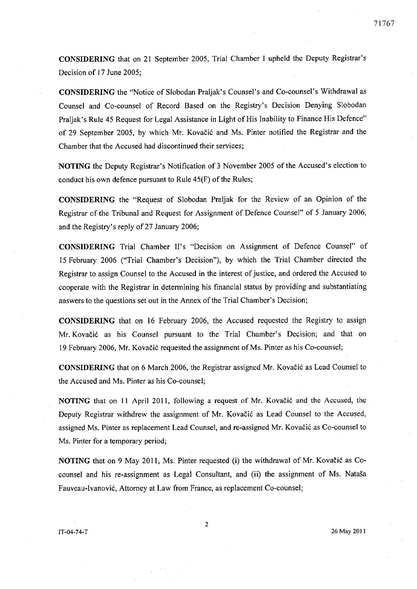CONSIDERING that on 21 September 2005, Trial Chamber I upheld the Deputy Registrar's

Decision of 17 June 2005;

CONSIDERING the "Notice of Slobodan Praljak's Counsel's and Co-counsel"s Withdrawal as Counsel and Co-counsel of Record Based on the Registry's Decision Denying Slobodan Praljak's Rule 45 Request for Legal Assistance in Light of His Inability to Finance His Defence" of 29 September 2005, by which Mr. Kovacic and Ms. Pinter notified the Registrar and the Chamber that the Accused had discontinued their services;

NOTING the Deputy Registrar's Notification of 3 November 2005 of the Accused's election to conduct his own defence pursuant to Rule 45(F) of the Rules;

CONSIDERING the "Request of Slobodan Praljak for the Review of an Opinion of the Registrar of the Tribunal and Request for Assignment of Defence Counsel" of 5 January 2006, and the Registry's reply of 27 January 2006;

CONSIDERING Trial Chamber II's "Decision on Assignment of Defence Counsel" of 15 February 2006 ("Trial Chamber's Decision"), by which the Trial Chamber directed the Registrar to assign Counsel to the Accused in the interest of justice, and ordered the Accused to cooperate with the Registrar in. determining his financial status by providing and substantiating answers to the questions set out in the Annex of the Trial Chamber's Decision;

CONSIDERING that on 16 February 2006, the Accused requested the Registry to assign Mr; Kovacic as his Counsel pursuant to the Trial Chamber's Decision; and that on 19 February 2006, Mr. Kovacic requested the assignment of Ms. Pinter as his Co-counsel;

CONSIDERING that on 6 March 2006, the Registrar assigned Mr. Kovacic as Lead Counsel to the Accused and Ms. Pinter as his Co-counsel;

NOTING that on 11 April 2011, following a request of Mr. Kovacic and the Accused, the Deputy Registrar withdrew the assignment of Mr. Kovačić as Lead Counsel to the Accused, assigned Ms. Pinter as replacement Lead Counsel, and re-assigned Mr. Kovacic as Co-counsel to Ms. Pinter for a temporary period;

NOTING that on 9 May 2011, Ms. Pinter requested (i) the withdrawal of Mr. Kovacic as Cocounsel and his re-assignment as Legal Consultant, and (ii) the assignment of Ms. Nataša Fauveau-Ivanović, Attorney at Law from France, as replacement Co-counsel;